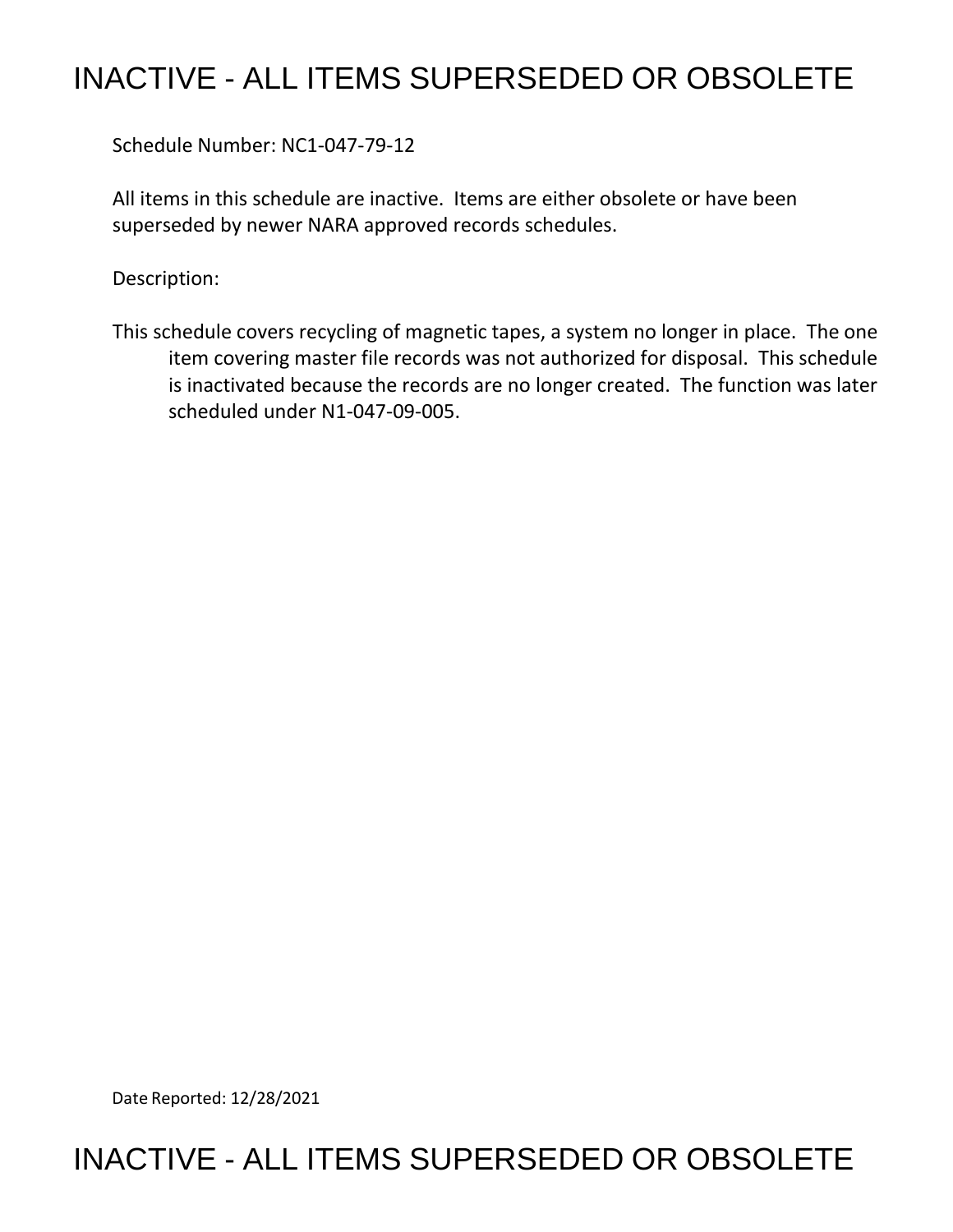## INACTIVE - ALL ITEMS SUPERSEDED OR OBSOLETE

Schedule Number: NC1-047-79-12

 All items in this schedule are inactive. Items are either obsolete or have been superseded by newer NARA approved records schedules.

Description:

 This schedule covers recycling of magnetic tapes, a system no longer in place. The one item covering master file records was not authorized for disposal. This schedule is inactivated because the records are no longer created. The function was later scheduled under N1-047-09-005.

Date Reported: 12/28/2021

## INACTIVE - ALL ITEMS SUPERSEDED OR OBSOLETE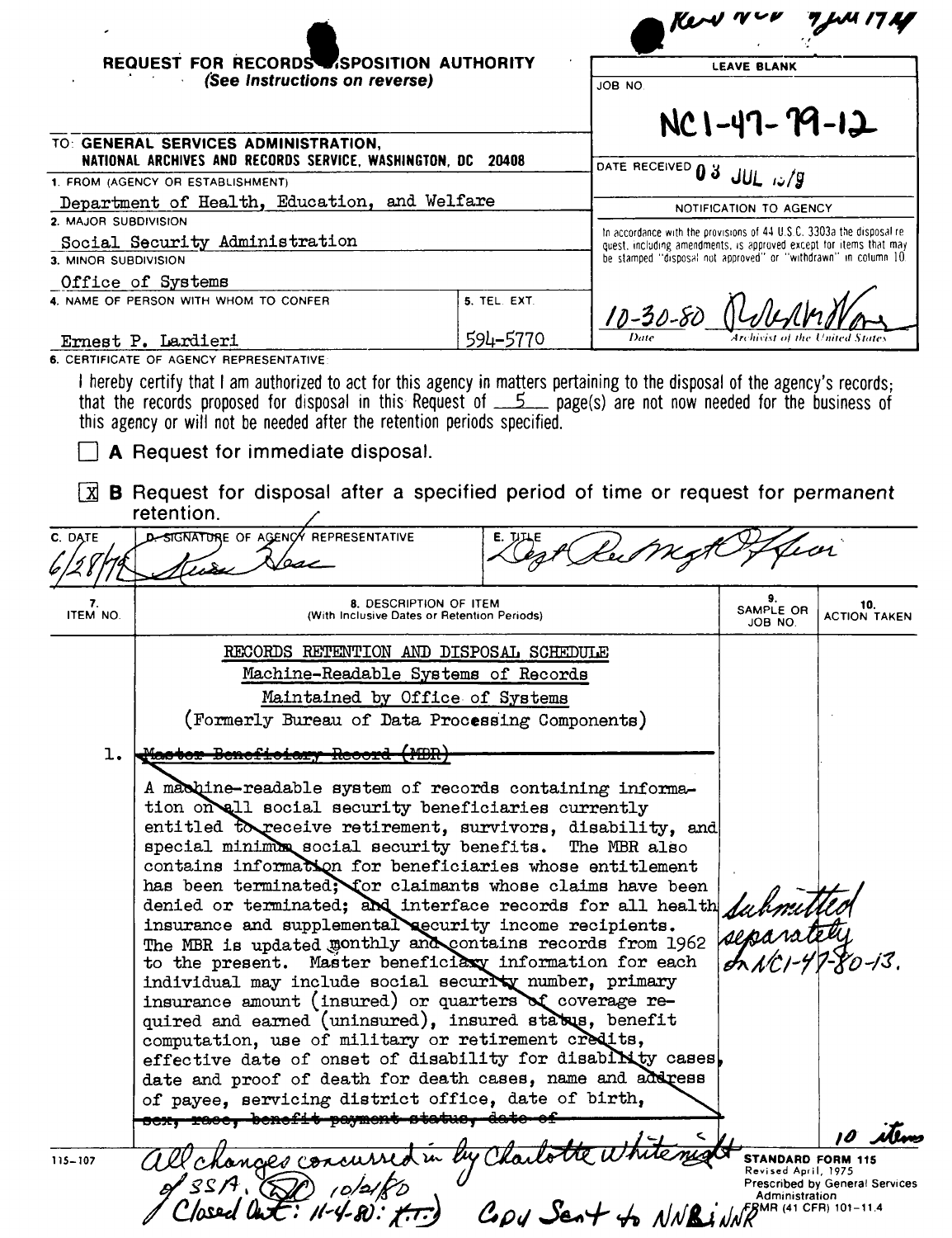|                      | REQUEST FOR RECORDS SPOSITION AUTHORITY                                                                                                                                                                                                                                                                                      |                                                                       |                                                                                                                                       |                                          |                            |
|----------------------|------------------------------------------------------------------------------------------------------------------------------------------------------------------------------------------------------------------------------------------------------------------------------------------------------------------------------|-----------------------------------------------------------------------|---------------------------------------------------------------------------------------------------------------------------------------|------------------------------------------|----------------------------|
|                      | (See Instructions on reverse)                                                                                                                                                                                                                                                                                                |                                                                       | JOB NO                                                                                                                                | <b>LEAVE BLANK</b>                       |                            |
|                      |                                                                                                                                                                                                                                                                                                                              |                                                                       |                                                                                                                                       | $NC1 - 47 - 79 - 12$                     |                            |
|                      | TO: GENERAL SERVICES ADMINISTRATION,<br>NATIONAL ARCHIVES AND RECORDS SERVICE, WASHINGTON, DC                                                                                                                                                                                                                                | 20408                                                                 |                                                                                                                                       |                                          |                            |
|                      | 1. FROM (AGENCY OR ESTABLISHMENT)                                                                                                                                                                                                                                                                                            |                                                                       | DATE RECEIVED 0 3 JUL 12/9                                                                                                            |                                          |                            |
|                      | Department of Health, Education, and Welfare                                                                                                                                                                                                                                                                                 |                                                                       |                                                                                                                                       | NOTIFICATION TO AGENCY                   |                            |
| 2. MAJOR SUBDIVISION | Social Security Administration                                                                                                                                                                                                                                                                                               |                                                                       | In accordance with the provisions of 44 U.S.C. 3303a the disposal re-                                                                 |                                          |                            |
| 3. MINOR SUBDIVISION |                                                                                                                                                                                                                                                                                                                              |                                                                       | quest, including amendments, is approved except for items that may<br>be stamped "disposal not approved" or "withdrawn" in column 10. |                                          |                            |
|                      | Office of Systems                                                                                                                                                                                                                                                                                                            |                                                                       |                                                                                                                                       |                                          |                            |
|                      | 4. NAME OF PERSON WITH WHOM TO CONFER                                                                                                                                                                                                                                                                                        | 5. TEL. EXT.                                                          | $10 - 30 - 80$                                                                                                                        |                                          |                            |
|                      | Ernest P. Lardieri                                                                                                                                                                                                                                                                                                           | 594-5770                                                              |                                                                                                                                       |                                          |                            |
|                      | 6. CERTIFICATE OF AGENCY REPRESENTATIVE                                                                                                                                                                                                                                                                                      |                                                                       |                                                                                                                                       |                                          |                            |
| l xi                 | that the records proposed for disposal in this Request of $5 - 5$ page(s) are not now needed for the business of<br>this agency or will not be needed after the retention periods specified.<br>A Request for immediate disposal.<br><b>B</b> Request for disposal after a specified period of time or request for permanent |                                                                       |                                                                                                                                       |                                          |                            |
|                      | retention.                                                                                                                                                                                                                                                                                                                   |                                                                       |                                                                                                                                       |                                          |                            |
| C. DATE              | <b>D. SIGNATURE OF AGENCY REPRESENTATIVE</b>                                                                                                                                                                                                                                                                                 |                                                                       |                                                                                                                                       | $z$ cn                                   |                            |
| 7.<br>ITEM NO.       |                                                                                                                                                                                                                                                                                                                              | 8. DESCRIPTION OF ITEM<br>(With Inclusive Dates or Retention Periods) |                                                                                                                                       | SAMPLE OR<br>JOB NO.                     | 10.<br><b>ACTION TAKEN</b> |
|                      | RECORDS RETENTION AND DISPOSAL SCHEDULE                                                                                                                                                                                                                                                                                      |                                                                       |                                                                                                                                       |                                          |                            |
|                      |                                                                                                                                                                                                                                                                                                                              | Machine-Readable Systems of Records                                   |                                                                                                                                       |                                          |                            |
|                      |                                                                                                                                                                                                                                                                                                                              | Maintained by Office of Systems                                       |                                                                                                                                       |                                          |                            |
|                      | (Formerly Bureau of Data Processing Components)                                                                                                                                                                                                                                                                              |                                                                       |                                                                                                                                       |                                          |                            |
|                      |                                                                                                                                                                                                                                                                                                                              |                                                                       |                                                                                                                                       |                                          |                            |
| ı.                   |                                                                                                                                                                                                                                                                                                                              |                                                                       |                                                                                                                                       |                                          |                            |
|                      |                                                                                                                                                                                                                                                                                                                              |                                                                       |                                                                                                                                       |                                          |                            |
|                      | A machine-readable system of records containing informa-<br>tion on all social security beneficiaries currently                                                                                                                                                                                                              |                                                                       |                                                                                                                                       |                                          |                            |
|                      | entitled to receive retirement, survivors, disability, and                                                                                                                                                                                                                                                                   |                                                                       |                                                                                                                                       |                                          |                            |
|                      | special minimum social security benefits. The MBR also                                                                                                                                                                                                                                                                       |                                                                       |                                                                                                                                       |                                          |                            |
|                      | contains information for beneficiaries whose entitlement<br>has been terminated; for claimants whose claims have been                                                                                                                                                                                                        |                                                                       |                                                                                                                                       |                                          |                            |
|                      |                                                                                                                                                                                                                                                                                                                              |                                                                       |                                                                                                                                       |                                          |                            |
|                      | denied or terminated; and interface records for all health duties<br>insurance and supplemental accurity income recipients.                                                                                                                                                                                                  |                                                                       |                                                                                                                                       |                                          |                            |
|                      | The MBR is updated monthly and contains records from 1962<br>to the present. Master beneficiary information for each                                                                                                                                                                                                         |                                                                       |                                                                                                                                       |                                          |                            |
|                      | individual may include social security number, primary                                                                                                                                                                                                                                                                       |                                                                       |                                                                                                                                       |                                          | $\chi_{0}$ -13.            |
|                      | insurance amount (insured) or quarters of coverage re-                                                                                                                                                                                                                                                                       |                                                                       |                                                                                                                                       |                                          |                            |
|                      | quired and earned (uninsured), insured status, benefit                                                                                                                                                                                                                                                                       |                                                                       |                                                                                                                                       |                                          |                            |
|                      | computation, use of military or retirement credits,<br>effective date of onset of disability for disability cases.                                                                                                                                                                                                           |                                                                       |                                                                                                                                       |                                          |                            |
|                      | date and proof of death for death cases, name and address                                                                                                                                                                                                                                                                    |                                                                       |                                                                                                                                       |                                          |                            |
|                      | of payee, servicing district office, date of birth,                                                                                                                                                                                                                                                                          |                                                                       |                                                                                                                                       |                                          |                            |
|                      | sex, race, benefit payment status, date of                                                                                                                                                                                                                                                                                   |                                                                       |                                                                                                                                       |                                          |                            |
| $115 - 107$          | onges concu                                                                                                                                                                                                                                                                                                                  |                                                                       |                                                                                                                                       | STANDARD FORM 115<br>Revised April, 1975 |                            |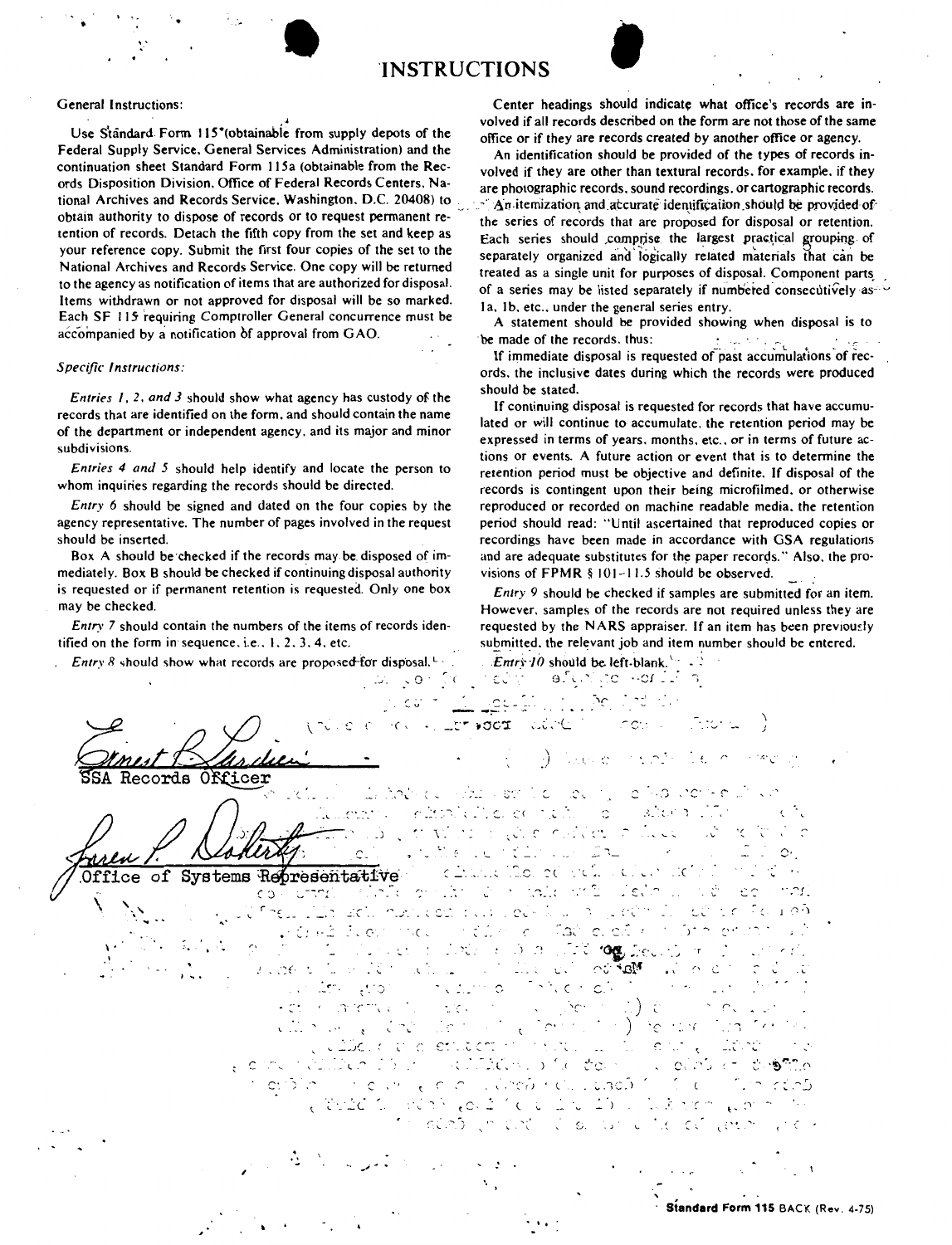

## General Instructions:

Use Standard Form 115" (obtainable from supply depots of the Federal Supply Service. General Services Administration) and the continuation sheet Standard Form 115a (obtainable from the Records Disposition Division. Office of Federal Records Centers. National Archives and Records Service, Washington. D.C. 20408) to obtain authority to dispose of records or to request permanent retention of records. Detach the fifth copy from the set and **keep** as your reference copy. Submit the first four copies of the set to the National Archives and Records Service. One copy will be returned to the agency as notification of items that are authorized for disposal. Items withdrawn or not approved for disposal will be so marked. Each SF 115 requiring Comptroller General concurrence must be accompanied by a notification of approval from GAO.

## *Specific Instructions:*

*Entries I, 2, and 3* should show what agency has custody of the records that are identified on the form. and should contain the name of the department or independent agency. and its major and minor subdivisions.

*Entries 4 and 5* should help identify and locate the person to whom inquiries regarding the records should be directed.

*Entry 6* should be signed and dated on the four copies by the agency representative. The number of pages involved in the request should be inserted.

Box A should be checked if the records may be disposed of immediately. Box B should be checked if continuing disposal authority is requested or if permanent retention is requested. Only one box may be checked.

*Entry* 7 should contain the numbers of the items of records identified on the form in sequence, i.e.,  $1, 2, 3, 4$ , etc.

*Entry 8* should show what records are proposed-for disposal.<sup>L</sup> ·

Center headings should indicate what office's records are involved if all records described on the form are not those of the same office or if they are records created by another office or agency.

An identification should be provided of the types of records involved if they are other than textural records. for example. if they are photographic records. sound recordings. or cartographic records.  $\cdot$  An itemization and accurate identification should be provided ofthe series of records that are proposed for disposal or retention. Each series should comprise the largest practical grouping of separately organized and logically related materials that can be treated as a single unit for purposes of disposal. Component parts. of a series may be listed separately if numbered consecutively as- $\sim$ la. 1b. etc., under the general series entry.

A statement should be provided showing when disposal is to made of the records, thus: be made of the records. thus:  $\ddots$ 

If immediate disposal is requested of past accumulations of records. the inclusive dates during which the records were produced should be stated.

If continuing disposal is requested for records that have accumulated or will continue to accumulate. the retention period may be expressed in terms of years. months. etc.. or in terms of future actions or events. A future action or event that is to determine the retention period must be objective and definite. If disposal of the records is contingent upon their being microfilmed. or otherwise reproduced or recorded on machine readable media. the retention period should read: "Until ascertained that reproduced copies or recordings have been made in accordance with GSA regulations and are adequate substitutes for the paper records." Also, the provisions of **FPMR** § 101-11.5 should be observed.

*Entry 9* should be checked if samples are submitted for an item. However. samples of the records are not required unless they are requested by the NARS appraiser. If an item has been previously submitted. the relevant job and item number should be entered.

*Entry 10* should be left-blank.<sup>1</sup>:  $\frac{1}{2}$ <br> $\frac{1}{2}$   $\frac{1}{2}$   $\frac{1}{2}$   $\frac{1}{2}$   $\frac{1}{2}$   $\frac{1}{2}$ 

 $C^{\prime\prime}$  ,  $C^{\prime\prime}$  ,  $C^{\prime\prime}$  ,  $C^{\prime\prime}$ '- 0 . ,.,, . --- -- -- . ---·· .. \ C J \ *:)* . ( OKicer Records who see to be by itatik de in Tudi incriter elimitatione nutilis o altern. le curi ۰. , . \ \_· *\_)*  Marce (Carl Corrector)  $\mathcal{O}(\frac{1}{\sqrt{2}})$  $\mathbb{C}$ . chancing of education ad Representative οf Systems in take with liets ,.... \_.;·.. .:.. c,·\_·\_  $\epsilon$ in St どこて EC .. iad le. e.f. r e strategické politike  $\mathbb{C}$  .  $\mathbb{C}$  ,  $\mathbb{C}$  ,  $\mathbb{C}$  ,  $\mathbb{C}$  ,  $\mathbb{C}$  $\mathcal{L}$ I•. **SERIOR DE**  $-0.1 - 1$ i ali a  $\cup$   $\cup$ an 20  $\mathcal{L}$  $\cdot$  .  $\mathbb{C}$  finally , **.** .  $\leq$  c.  $C^*$  $\hat{ }$ **SIGN**  $\lq \cdot \mathbb{C}$  $\sqrt{2}$ condition in the la  $\widehat{\Omega}$ da no single and the control of the step of ວເລີນ ເກ \_· l,. ....... C: in the law of each increased contacts in  $\mathbb{C}^{\times}$  C and a lot of our of the same  $\epsilon$  ,  $\alpha$  ,  $\gamma$  $\mathcal{L} \subset \mathcal{L}$ *<sup>r</sup>* S. (' . *<sup>I</sup>*' ' . .. \_,; ....  $\mathbb{R}^3$ **Standard Form 115** BACK (Rev. 4-75)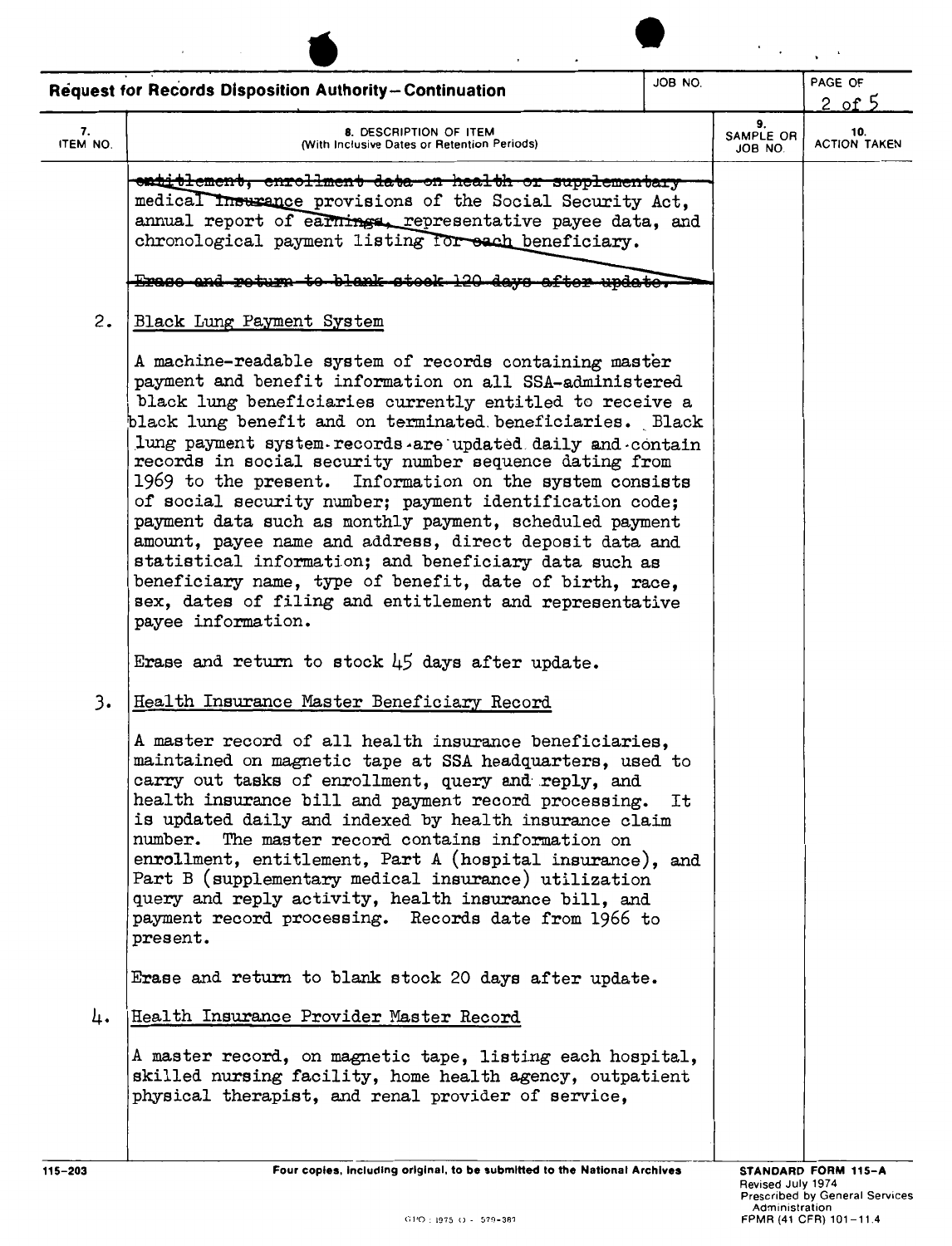|                | <b>Request for Records Disposition Authority-Continuation</b>                                                                                                                                                                                                                                                                                                                                                                                                                                                                                                                                                                                                                                                                                                                                                      | JOB NO. |                            | PAGE OF<br>2 of $5$        |
|----------------|--------------------------------------------------------------------------------------------------------------------------------------------------------------------------------------------------------------------------------------------------------------------------------------------------------------------------------------------------------------------------------------------------------------------------------------------------------------------------------------------------------------------------------------------------------------------------------------------------------------------------------------------------------------------------------------------------------------------------------------------------------------------------------------------------------------------|---------|----------------------------|----------------------------|
| 7.<br>ITEM NO. | 8. DESCRIPTION OF ITEM<br>(With Inclusive Dates or Retention Periods)                                                                                                                                                                                                                                                                                                                                                                                                                                                                                                                                                                                                                                                                                                                                              |         | 9.<br>SAMPLE OR<br>JOB NO. | 10.<br><b>ACTION TAKEN</b> |
|                | entitlement, enrollment data-on health or supplementary<br>medical Insurance provisions of the Social Security Act.<br>annual report of earnings, representative payee data, and<br>chronological payment listing for each beneficiary.<br>Erago and roturn to blank stook 120 devs af:                                                                                                                                                                                                                                                                                                                                                                                                                                                                                                                            |         |                            |                            |
| 2.             | Black Lung Payment System                                                                                                                                                                                                                                                                                                                                                                                                                                                                                                                                                                                                                                                                                                                                                                                          |         |                            |                            |
|                | A machine-readable system of records containing master<br>payment and benefit information on all SSA-administered<br>black lung beneficiaries currently entitled to receive a<br>black lung benefit and on terminated beneficiaries. Black<br>lung payment system records are updated daily and contain<br>records in social security number sequence dating from<br>1969 to the present. Information on the system consists<br>of social security number; payment identification code;<br>payment data such as monthly payment, scheduled payment<br>amount, payee name and address, direct deposit data and<br>statistical information; and beneficiary data such as<br>beneficiary name, type of benefit, date of birth, race,<br>sex, dates of filing and entitlement and representative<br>payee information. |         |                            |                            |
|                | Erase and return to stock $\downarrow$ 5 days after update.                                                                                                                                                                                                                                                                                                                                                                                                                                                                                                                                                                                                                                                                                                                                                        |         |                            |                            |
| 3.             | Health Insurance Master Beneficiary Record<br>A master record of all health insurance beneficiaries,<br>maintained on magnetic tape at SSA headquarters, used to<br>carry out tasks of enrollment, query and reply, and<br>health insurance bill and payment record processing.<br>is updated daily and indexed by health insurance claim<br>number. The master record contains information on<br>enrollment, entitlement, Part A (hospital insurance), and<br>Part B (supplementary medical insurance) utilization<br>query and reply activity, health insurance bill, and<br>payment record processing. Records date from 1966 to<br>present.<br>Erase and return to blank stock 20 days after update.                                                                                                           | Ιt      |                            |                            |
| 4.             | Health Insurance Provider Master Record<br>A master record, on magnetic tape, listing each hospital,<br>skilled nursing facility, home health agency, outpatient<br>physical therapist, and renal provider of service,                                                                                                                                                                                                                                                                                                                                                                                                                                                                                                                                                                                             |         |                            |                            |
| 115-203        | Four copies, including original, to be submitted to the National Archives                                                                                                                                                                                                                                                                                                                                                                                                                                                                                                                                                                                                                                                                                                                                          |         |                            | <b>STANDARD FORM 115-A</b> |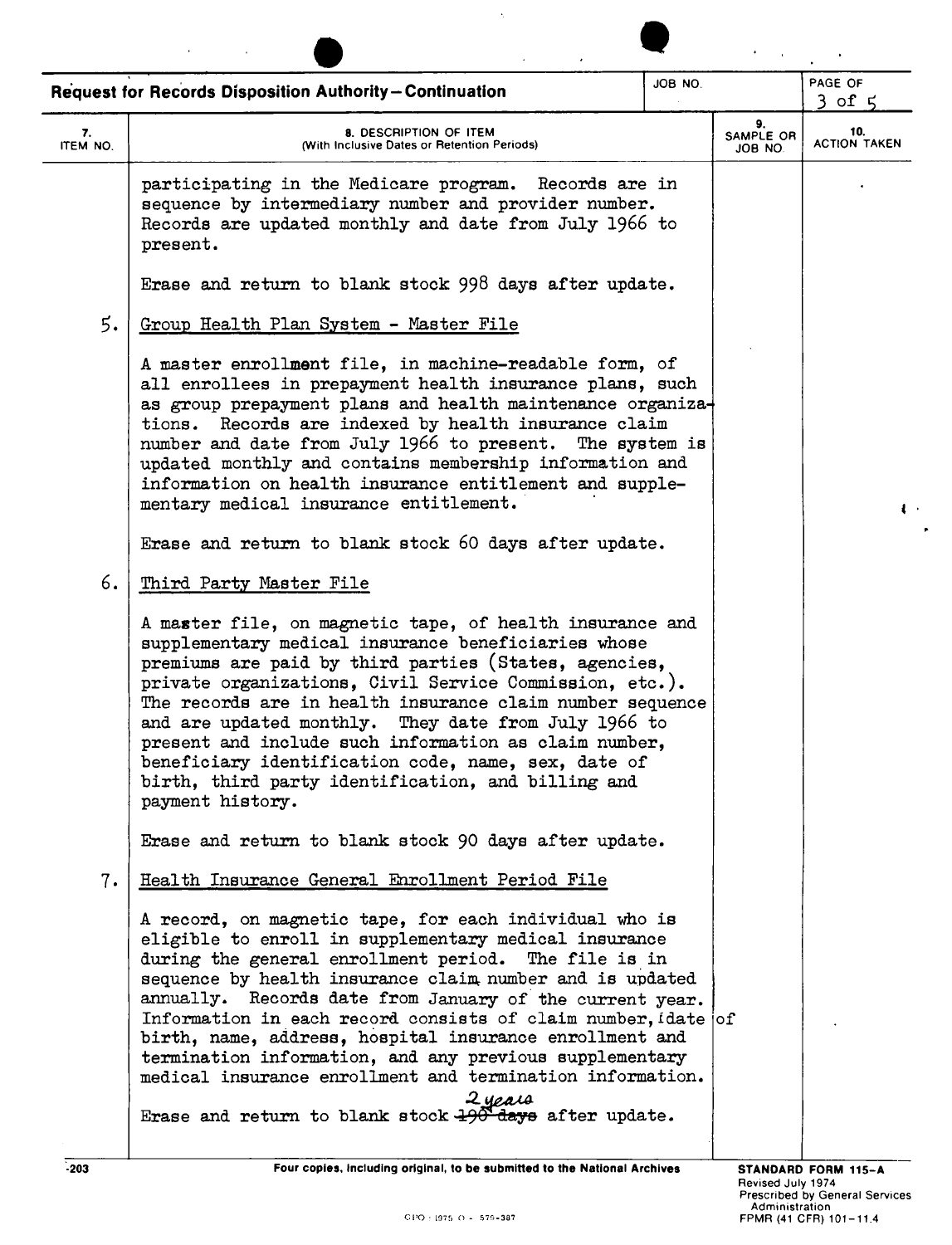|                | Request for Records Disposition Authority-Continuation                                                                                                                                                                                                                                                                                                                                                                                                                                                                                                                                                                   | JOB NO. |                            | PAGE OF<br>$3$ of $5$      |
|----------------|--------------------------------------------------------------------------------------------------------------------------------------------------------------------------------------------------------------------------------------------------------------------------------------------------------------------------------------------------------------------------------------------------------------------------------------------------------------------------------------------------------------------------------------------------------------------------------------------------------------------------|---------|----------------------------|----------------------------|
| 7.<br>ITEM NO. | 8. DESCRIPTION OF ITEM<br>(With Inclusive Dates or Retention Periods)                                                                                                                                                                                                                                                                                                                                                                                                                                                                                                                                                    |         | 9.<br>SAMPLE OR<br>JOB NO. | 10.<br><b>ACTION TAKEN</b> |
|                | participating in the Medicare program. Records are in<br>sequence by intermediary number and provider number.<br>Records are updated monthly and date from July 1966 to<br>present.                                                                                                                                                                                                                                                                                                                                                                                                                                      |         |                            |                            |
|                | Erase and return to blank stock 998 days after update.                                                                                                                                                                                                                                                                                                                                                                                                                                                                                                                                                                   |         |                            |                            |
| 5.             | Group Health Plan System - Master File                                                                                                                                                                                                                                                                                                                                                                                                                                                                                                                                                                                   |         |                            |                            |
|                | A master enrollment file, in machine-readable form, of<br>all enrollees in prepayment health insurance plans, such<br>as group prepayment plans and health maintenance organiza-<br>tions. Records are indexed by health insurance claim<br>number and date from July 1966 to present. The system is<br>updated monthly and contains membership information and<br>information on health insurance entitlement and supple-<br>mentary medical insurance entitlement.                                                                                                                                                     |         |                            | $\cdot$                    |
|                | Erase and return to blank stock 60 days after update.                                                                                                                                                                                                                                                                                                                                                                                                                                                                                                                                                                    |         |                            |                            |
| 6.             | Third Party Master File                                                                                                                                                                                                                                                                                                                                                                                                                                                                                                                                                                                                  |         |                            |                            |
|                | A master file, on magnetic tape, of health insurance and<br>supplementary medical insurance beneficiaries whose<br>premiums are paid by third parties (States, agencies,<br>private organizations, Civil Service Commission, etc.).<br>The records are in health insurance claim number sequence<br>and are updated monthly. They date from July 1966 to<br>present and include such information as claim number,<br>beneficiary identification code, name, sex, date of<br>birth, third party identification, and billing and<br>payment history.                                                                       |         |                            |                            |
|                | Erase and return to blank stock 90 days after update.                                                                                                                                                                                                                                                                                                                                                                                                                                                                                                                                                                    |         |                            |                            |
| 7.             | Health Insurance General Enrollment Period File                                                                                                                                                                                                                                                                                                                                                                                                                                                                                                                                                                          |         |                            |                            |
|                | A record, on magnetic tape, for each individual who is<br>eligible to enroll in supplementary medical insurance<br>during the general enrollment period. The file is in<br>sequence by health insurance claim number and is updated<br>annually. Records date from January of the current year.<br>Information in each record consists of claim number, idate of<br>birth, name, address, hospital insurance enrollment and<br>termination information, and any previous supplementary<br>medical insurance enrollment and termination information.<br>2 years<br>Erase and return to blank stock +90 days after update. |         |                            |                            |

 $\bullet$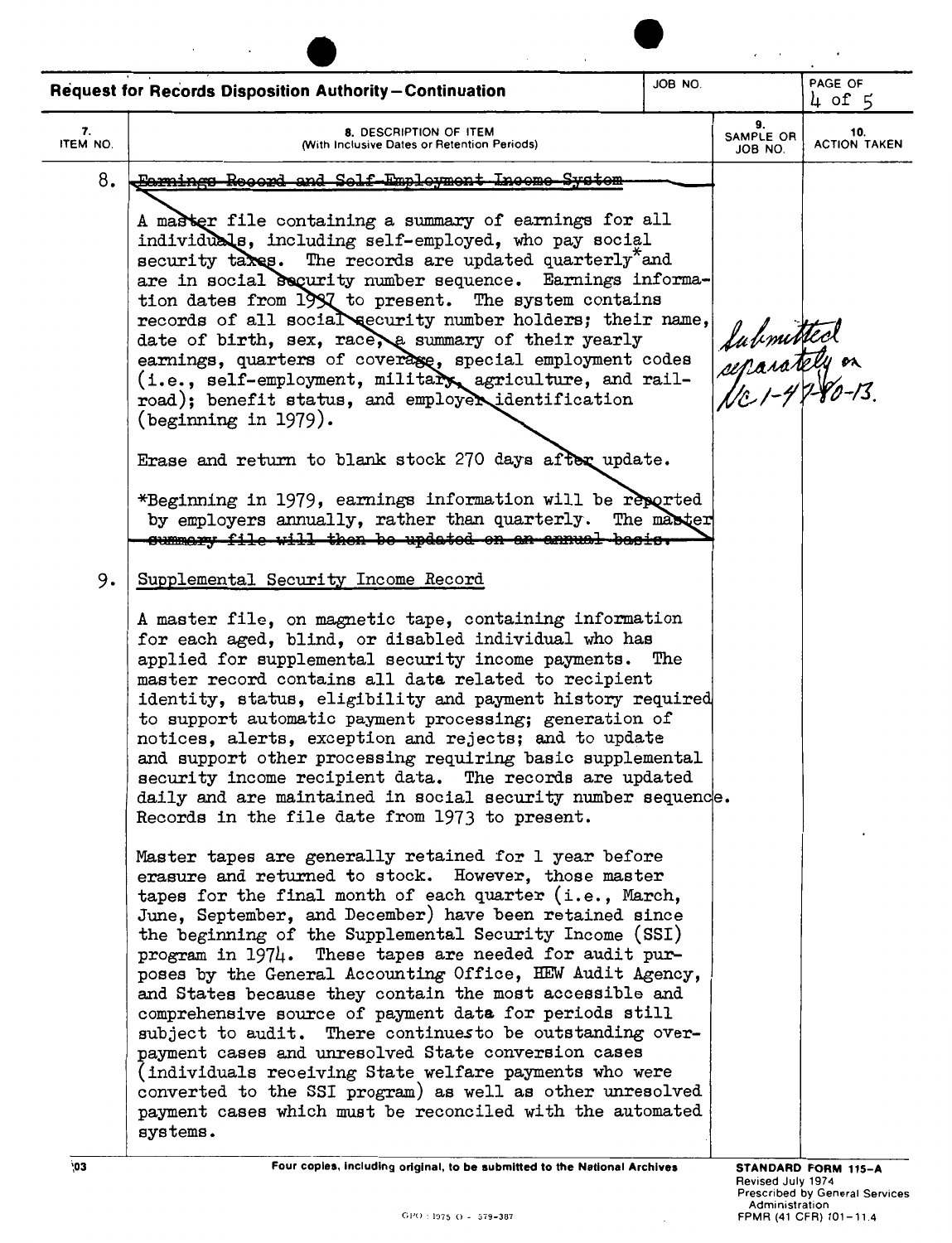|                | JOB NO.<br><b>Request for Records Disposition Authority-Continuation</b>                                                                                                                                                                                                                                                                                                                                                                                                                                                                                                                                                                                                                                                                                                                                                                                       |  |                                            | PAGE OF<br>$4$ of 5        |  |
|----------------|----------------------------------------------------------------------------------------------------------------------------------------------------------------------------------------------------------------------------------------------------------------------------------------------------------------------------------------------------------------------------------------------------------------------------------------------------------------------------------------------------------------------------------------------------------------------------------------------------------------------------------------------------------------------------------------------------------------------------------------------------------------------------------------------------------------------------------------------------------------|--|--------------------------------------------|----------------------------|--|
| 7.<br>ITEM NO. | 8. DESCRIPTION OF ITEM<br>(With Inclusive Dates or Retention Periods)                                                                                                                                                                                                                                                                                                                                                                                                                                                                                                                                                                                                                                                                                                                                                                                          |  | 9.<br>SAMPLE OR<br>JOB NO.                 | 10.<br><b>ACTION TAKEN</b> |  |
| 8.             | <del>Earnings Reserd and Self-Employment Income System</del>                                                                                                                                                                                                                                                                                                                                                                                                                                                                                                                                                                                                                                                                                                                                                                                                   |  |                                            |                            |  |
|                | A master file containing a summary of earnings for all<br>individuals, including self-employed, who pay social<br>security takes. The records are updated quarterly and<br>are in social security number sequence. Earnings informa-<br>tion dates from 1997 to present. The system contains<br>records of all social security number holders; their name,<br>date of birth, sex, race, a summary of their yearly<br>earnings, quarters of coverage, special employment codes<br>(i.e., self-employment, military agriculture, and rail-<br>road); benefit status, and employer identification<br>(beginning in $1979$ ).<br>Erase and return to blank stock 270 days after update.                                                                                                                                                                            |  | Submitted<br>separately on<br>Nc1-47-80-13 |                            |  |
|                | *Beginning in 1979, earnings information will be reported<br>by employers annually, rather than quarterly. The master<br>cummary file will then be updated on an annual basis.                                                                                                                                                                                                                                                                                                                                                                                                                                                                                                                                                                                                                                                                                 |  |                                            |                            |  |
| 9.             | Supplemental Security Income Record                                                                                                                                                                                                                                                                                                                                                                                                                                                                                                                                                                                                                                                                                                                                                                                                                            |  |                                            |                            |  |
|                | A master file, on magnetic tape, containing information<br>for each aged, blind, or disabled individual who has<br>applied for supplemental security income payments. The<br>master record contains all data related to recipient<br>identity, status, eligibility and payment history required<br>to support automatic payment processing; generation of<br>notices, alerts, exception and rejects; and to update<br>and support other processing requiring basic supplemental<br>security income recipient data. The records are updated<br>daily and are maintained in social security number sequence.<br>Records in the file date from 1973 to present.                                                                                                                                                                                                   |  |                                            |                            |  |
|                | Master tapes are generally retained for 1 year before<br>erasure and returned to stock. However, those master<br>tapes for the final month of each quarter (i.e., March,<br>June, September, and December) have been retained since<br>the beginning of the Supplemental Security Income (SSI)<br>program in 1974. These tapes are needed for audit pur-<br>poses by the General Accounting Office, HEW Audit Agency,<br>and States because they contain the most accessible and<br>comprehensive source of payment data for periods still<br>subject to audit. There continues to be outstanding over-<br>payment cases and unresolved State conversion cases<br>(individuals receiving State welfare payments who were<br>converted to the SSI program) as well as other unresolved<br>payment cases which must be reconciled with the automated<br>systems. |  |                                            |                            |  |
| $^{6}$ 03      | Four copies, including original, to be submitted to the National Archives                                                                                                                                                                                                                                                                                                                                                                                                                                                                                                                                                                                                                                                                                                                                                                                      |  |                                            | STANDARD FORM 115-A        |  |